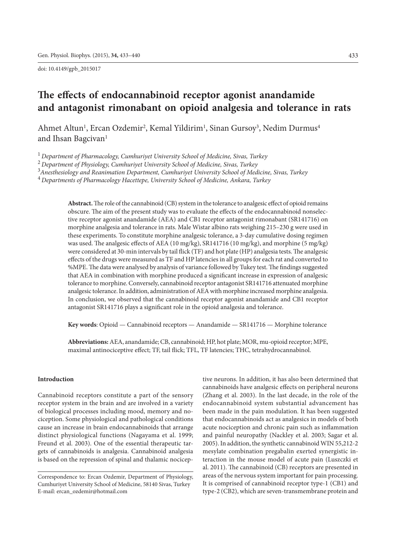doi: 10.4149/gpb\_2015017

# **The effects of endocannabinoid receptor agonist anandamide and antagonist rimonabant on opioid analgesia and tolerance in rats**

Ahmet Altun<sup>1</sup>, Ercan Ozdemir<sup>2</sup>, Kemal Yildirim<sup>1</sup>, Sinan Gursoy<sup>3</sup>, Nedim Durmus<sup>4</sup> and Ihsan Bagcivan<sup>1</sup>

<sup>1</sup>*Department of Pharmacology, Cumhuriyet University School of Medicine, Sivas, Turkey*

<sup>2</sup>*Department of Physiology, Cumhuriyet University School of Medicine, Sivas, Turkey*

3 *Anesthesiology and Reanimation Department, Cumhuriyet University School of Medicine, Sivas, Turkey*

<sup>4</sup>*Departments of Pharmacology Hacettepe, University School of Medicine, Ankara, Turkey*

**Abstract.** The role ofthe cannabinoid (CB) system in the tolerance to analgesic effect of opioid remains obscure. The aim of the present study was to evaluate the effects of the endocannabinoid nonselective receptor agonist anandamide (AEA) and CB1 receptor antagonist rimonabant (SR141716) on morphine analgesia and tolerance in rats. Male Wistar albino rats weighing 215–230 g were used in these experiments. To constitute morphine analgesic tolerance, a 3-day cumulative dosing regimen was used. The analgesic effects of AEA (10 mg/kg), SR141716 (10 mg/kg), and morphine (5 mg/kg) were considered at 30-min intervals by tail flick (TF) and hot plate (HP) analgesia tests. The analgesic effects of the drugs were measured as TF and HP latencies in all groups for each rat and converted to %MPE. The data were analysed by analysis of variance followed by Tukey test. The findings suggested that AEA in combination with morphine produced a significant increase in expression of analgesic tolerance to morphine. Conversely, cannabinoid receptor antagonist SR141716 attenuated morphine analgesic tolerance. In addition, administration of AEA with morphine increased morphine analgesia. In conclusion, we observed that the cannabinoid receptor agonist anandamide and CB1 receptor antagonist SR141716 plays a significant role in the opioid analgesia and tolerance.

**Key words**: Opioid — Cannabinoid receptors — Anandamide — SR141716 — Morphine tolerance

**Abbreviations:** AEA, anandamide; CB, cannabinoid; HP, hot plate; MOR, mu-opioid receptor; MPE, maximal antinociceptive effect; TF, tail flick; TFL, TF latencies; THC, tetrahydrocannabinol.

#### **Introduction**

Cannabinoid receptors constitute a part of the sensory receptor system in the brain and are involved in a variety of biological processes including mood, memory and nociception. Some physiological and pathological conditions cause an increase in brain endocannabinoids that arrange distinct physiological functions (Nagayama et al. 1999; Freund et al. 2003). One of the essential therapeutic targets of cannabinoids is analgesia. Cannabinoid analgesia is based on the repression of spinal and thalamic nociceptive neurons. In addition, it has also been determined that cannabinoids have analgesic effects on peripheral neurons (Zhang et al. 2003). In the last decade, in the role of the endocannabinoid system substantial advancement has been made in the pain modulation. It has been suggested that endocannabinoids act as analgesics in models of both acute nociception and chronic pain such as inflammation and painful neuropathy (Nackley et al. 2003; Sagar et al. 2005). In addition, the synthetic cannabinoid WIN 55,212-2 mesylate combination pregabalin exerted synergistic interaction in the mouse model of acute pain (Luszczki et al. 2011). The cannabinoid (CB) receptors are presented in areas of the nervous system important for pain processing. It is comprised of cannabinoid receptor type-1 (CB1) and type-2 (CB2), which are seven-transmembrane protein and

Correspondence to: Ercan Ozdemir, Department of Physiology, Cumhuriyet University School of Medicine, 58140 Sivas, Turkey E-mail: ercan\_ozdemir@hotmail.com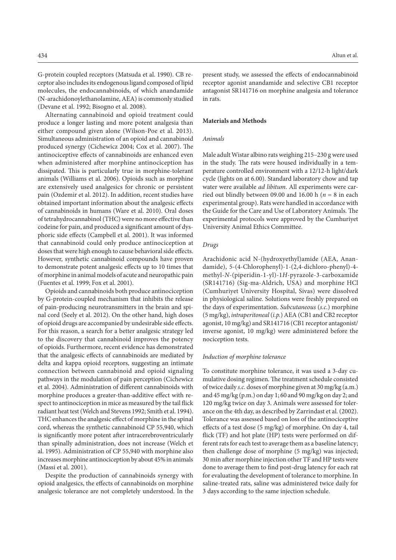G-protein coupled receptors (Matsuda et al. 1990). CB receptor also includes its endogenous ligand composed of lipid molecules, the endocannabinoids, of which anandamide (N-arachidonoylethanolamine, AEA) is commonly studied (Devane et al. 1992; Bisogno et al. 2008).

Alternating cannabinoid and opioid treatment could produce a longer lasting and more potent analgesia than either compound given alone (Wilson-Poe et al. 2013). Simultaneous administration of an opioid and cannabinoid produced synergy (Cichewicz 2004; Cox et al. 2007). The antinociceptive effects of cannabinoids are enhanced even when administered after morphine antinociception has dissipated. This is particularly true in morphine-tolerant animals (Williams et al. 2006). Opioids such as morphine are extensively used analgesics for chronic or persistent pain (Ozdemir et al. 2012). In addition, recent studies have obtained important information about the analgesic effects of cannabinoids in humans (Ware et al. 2010). Oral doses of tetrahydrocannabinol (THC) were no more effective than codeine for pain, and produced a significant amount of dysphoric side effects (Campbell et al. 2001). It was informed that cannabinoid could only produce antinociception at doses that were high enough to cause behavioral side effects. However, synthetic cannabinoid compounds have proven to demonstrate potent analgesic effects up to 10 times that of morphine in animal models of acute and neuropathic pain (Fuentes et al. 1999; Fox et al. 2001).

Opioids and cannabinoids both produce antinociception by G-protein-coupled mechanism that inhibits the release of pain-producing neurotransmitters in the brain and spinal cord (Seely et al. 2012). On the other hand, high doses of opioid drugs are accompanied by undesirable side effects. For this reason, a search for a better analgesic strategy led to the discovery that cannabinoid improves the potency of opioids. Furthermore, recent evidence has demonstrated that the analgesic effects of cannabinoids are mediated by delta and kappa opioid receptors, suggesting an intimate connection between cannabinoid and opioid signaling pathways in the modulation of pain perception (Cichewicz et al. 2004). Administration of different cannabinoids with morphine produces a greater-than-additive effect with respect to antinociception in mice as measured by the tail flick radiant heat test (Welch and Stevens 1992; Smith et al. 1994). THC enhances the analgesic effect of morphine in the spinal cord, whereas the synthetic cannabinoid CP 55,940, which is significantly more potent after intracerebroventricularly than spinally administration, does not increase (Welch et al. 1995). Administration of CP 55,940 with morphine also increases morphine antinociception by about 45% in animals (Massi et al. 2001).

Despite the production of cannabinoids synergy with opioid analgesics, the effects of cannabinoids on morphine analgesic tolerance are not completely understood. In the

present study, we assessed the effects of endocannabinoid receptor agonist anandamide and selective CB1 receptor antagonist SR141716 on morphine analgesia and tolerance in rats.

## **Materials and Methods**

#### *Animals*

Male adult Wistar albino rats weighing 215–230 gwere used in the study. The rats were housed individually in a temperature controlled environment with a 12/12-h light/dark cycle (lights on at 6.00). Standard laboratory chow and tap water were available *ad libitum*. All experiments were carried out blindly between 09.00 and 16.00 h ( $n = 8$  in each experimental group). Rats were handled in accordance with the Guide for the Care and Use of Laboratory Animals. The experimental protocols were approved by the Cumhuriyet University Animal Ethics Committee.

## *Drugs*

Arachidonic acid N-(hydroxyethyl)amide (AEA, Anandamide), 5-(4-Chlorophenyl)-1-(2,4-dichloro-phenyl)-4 methyl-*N*-(piperidin-1-yl)-1*H*-pyrazole-3-carboxamide (SR141716) (Sig-ma-Aldrich, USA) and morphine HCl (Cumhuriyet University Hospital, Sivas) were dissolved in physiological saline. Solutions were freshly prepared on the days of experimentation. *Subcutaneous* (*s.c.*) morphine (5 mg/kg), *intraperitoneal* (*i.p.*) AEA (CB1 and CB2 receptor agonist, 10 mg/kg) and SR141716 (CB1 receptor antagonist/ inverse agonist, 10 mg/kg) were administered before the nociception tests.

#### *Induction of morphine tolerance*

To constitute morphine tolerance, it was used a 3-day cumulative dosing regimen. The treatment schedule consisted of twice daily *s.c.* doses of morphine given at 30 mg/kg (a.m.) and 45 mg/kg (p.m.) on day 1; 60 and 90 mg/kg on day 2; and 120 mg/kg twice on day 3. Animals were assessed for tolerance on the 4th day, as described by Zarrindast et al. (2002). Tolerance was assessed based on loss of the antinociceptive effects of a test dose (5 mg/kg) of morphine. On day 4, tail flick (TF) and hot plate (HP) tests were performed on different rats for each test to average them as a baseline latency; then challenge dose of morphine (5 mg/kg) was injected; 30 min after morphine injection other TF and HP tests were done to average them to find post-drug latency for each rat for evaluating the development of tolerance to morphine. In saline-treated rats, saline was administered twice daily for 3 days according to the same injection schedule.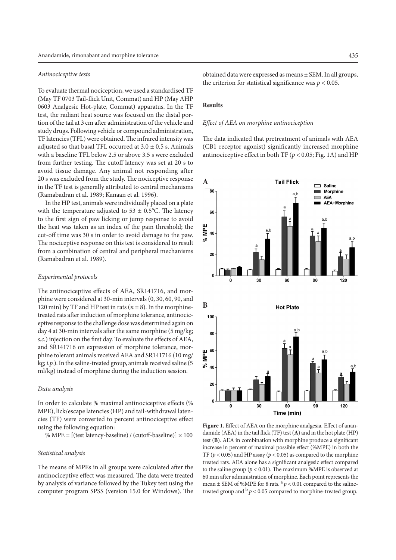#### *Antinociceptive tests*

To evaluate thermal nociception, we used a standardised TF (May TF 0703 Tail-flick Unit, Commat) and HP (May AHP 0603 Analgesic Hot-plate, Commat) apparatus. In the TF test, the radiant heat source was focused on the distal portion of the tail at 3 cm after administration of the vehicle and study drugs. Following vehicle or compound administration, TF latencies (TFL) were obtained. The infrared intensity was adjusted so that basal TFL occurred at  $3.0 \pm 0.5$  s. Animals with a baseline TFL below 2.5 or above 3.5 s were excluded from further testing. The cutoff latency was set at 20 s to avoid tissue damage. Any animal not responding after 20 s was excluded from the study. The nociceptive response in the TF test is generally attributed to central mechanisms (Ramabadran et al. 1989; Kanaan et al. 1996).

In the HP test, animals were individually placed on a plate with the temperature adjusted to  $53 \pm 0.5$ °C. The latency to the first sign of paw licking or jump response to avoid the heat was taken as an index of the pain threshold; the cut-off time was 30 s in order to avoid damage to the paw. The nociceptive response on this test is considered to result from a combination of central and peripheral mechanisms (Ramabadran et al. 1989).

## *Experimental protocols*

The antinociceptive effects of AEA, SR141716, and morphine were considered at 30-min intervals (0, 30, 60, 90, and 120 min) by TF and HP test in rats  $(n = 8)$ . In the morphinetreated rats after induction of morphine tolerance, antinociceptive response to the challenge dose was determined again on day 4 at 30-min intervals after the same morphine (5 mg/kg; *s.c.*) injection on the first day. To evaluate the effects of AEA, and SR141716 on expression of morphine tolerance, morphine tolerant animals received AEA and SR141716 (10 mg/ kg; *i.p.*). In the saline-treated group, animals received saline (5 ml/kg) instead of morphine during the induction session.

## *Data analysis*

In order to calculate % maximal antinociceptive effects (% MPE), lick/escape latencies (HP) and tail-withdrawal latencies (TF) were converted to percent antinociceptive effect using the following equation:

% MPE =  $[(test latency-basedine) / (cutoff-basedine)] \times 100$ 

#### *Statistical analysis*

The means of MPEs in all groups were calculated after the antinociceptive effect was measured. The data were treated by analysis of variance followed by the Tukey test using the computer program SPSS (version 15.0 for Windows). The

obtained data were expressed as means ± SEM. In all groups, the criterion for statistical significance was  $p < 0.05$ .

## **Results**

#### *Effect of AEA on morphine antinociception*

The data indicated that pretreatment of animals with AEA (CB1 receptor agonist) significantly increased morphine antinociceptive effect in both TF ( $p < 0.05$ ; Fig. 1A) and HP



Figure 1. Effect of AEA on the morphine analgesia. Effect of anandamide (AEA) in the tail flick (TF) test (**A**) and in the hot plate (HP) test (**B**). AEA in combination with morphine produce a significant increase in percent of maximal possible effect (%MPE) in both the TF ( $p < 0.05$ ) and HP assay ( $p < 0.05$ ) as compared to the morphine treated rats. AEA alone has a significant analgesic effect compared to the saline group ( $p < 0.01$ ). The maximum %MPE is observed at 60 min after administration of morphine. Each point represents the mean  $\pm$  SEM of %MPE for 8 rats.  $a$   $p$  < 0.01 compared to the salinetreated group and  $\frac{b}{p}$  < 0.05 compared to morphine-treated group.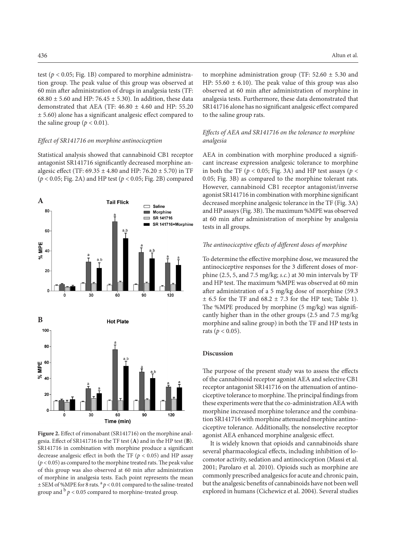test ( $p < 0.05$ ; Fig. 1B) compared to morphine administration group. The peak value of this group was observed at 60 min after administration of drugs in analgesia tests (TF: 68.80  $\pm$  5.60 and HP: 76.45  $\pm$  5.30). In addition, these data demonstrated that AEA (TF:  $46.80 \pm 4.60$  and HP: 55.20 ± 5.60) alone has a significant analgesic effect compared to the saline group ( $p < 0.01$ ).

#### *Effect of SR141716 on morphine antinociception*

Statistical analysis showed that cannabinoid CB1 receptor antagonist SR141716 significantly decreased morphine analgesic effect (TF:  $69.35 \pm 4.80$  and HP:  $76.20 \pm 5.70$ ) in TF (*p* < 0.05; Fig. 2A) and HP test (*p* < 0.05; Fig. 2B) compared



**Figure 2.** Effect of rimonabant (SR141716) on the morphine analgesia. Effect of SR141716 in the TF test (**A**) and in the HP test (**B**). SR141716 in combination with morphine produce a significant decrease analgesic effect in both the TF (*p* < 0.05) and HP assay  $(p < 0.05)$  as compared to the morphine treated rats. The peak value of this group was also observed at 60 min after administration of morphine in analgesia tests. Each point represents the mean  $\pm$  SEM of %MPE for 8 rats.  $a$   $p$  < 0.01 compared to the saline-treated group and  $\frac{b}{p}$  < 0.05 compared to morphine-treated group.

to morphine administration group (TF:  $52.60 \pm 5.30$  and HP: 55.60  $\pm$  6.10). The peak value of this group was also observed at 60 min after administration of morphine in analgesia tests. Furthermore, these data demonstrated that SR141716 alone has no significant analgesic effect compared to the saline group rats.

## *Effects of AEA and SR141716 on the tolerance to morphine analgesia*

AEA in combination with morphine produced a significant increase expression analgesic tolerance to morphine in both the TF ( $p < 0.05$ ; Fig. 3A) and HP test assays ( $p <$ 0.05; Fig. 3B) as compared to the morphine tolerant rats. However, cannabinoid CB1 receptor antagonist/inverse agonist SR141716 in combination with morphine significant decreased morphine analgesic tolerance in the TF (Fig. 3A) and HP assays (Fig. 3B). The maximum %MPE was observed at 60 min after administration of morphine by analgesia tests in all groups.

## *The antinociceptive effects of different doses of morphine*

To determine the effective morphine dose, we measured the antinociceptive responses for the 3 different doses of morphine (2.5, 5, and 7.5 mg/kg; *s.c.*) at 30 min intervals by TF and HP test. The maximum %MPE was observed at 60 min after administration of a 5 mg/kg dose of morphine (59.3  $\pm$  6.5 for the TF and 68.2  $\pm$  7.3 for the HP test; Table 1). The %MPE produced by morphine (5 mg/kg) was significantly higher than in the other groups (2.5 and 7.5 mg/kg morphine and saline group) in both the TF and HP tests in rats ( $p < 0.05$ ).

## **Discussion**

The purpose of the present study was to assess the effects of the cannabinoid receptor agonist AEA and selective CB1 receptor antagonist SR141716 on the attenuation of antinociceptive tolerance to morphine. The principal findings from these experiments were that the co-administration AEA with morphine increased morphine tolerance and the combination SR141716 with morphine attenuated morphine antinociceptive tolerance. Additionally, the nonselective receptor agonist AEA enhanced morphine analgesic effect.

It is widely known that opioids and cannabinoids share several pharmacological effects, including inhibition of locomotor activity, sedation and antinociception (Massi et al. 2001; Parolaro et al. 2010). Opioids such as morphine are commonly prescribed analgesics for acute and chronic pain, but the analgesic benefits of cannabinoids have not been well explored in humans (Cichewicz et al. 2004). Several studies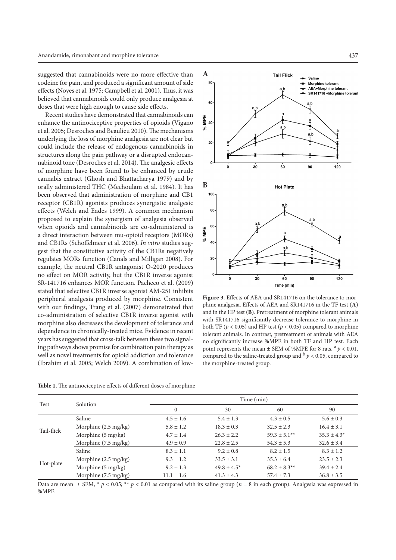suggested that cannabinoids were no more effective than codeine for pain, and produced a significant amount of side effects (Noyes et al. 1975; Campbell et al. 2001). Thus, it was believed that cannabinoids could only produce analgesia at doses that were high enough to cause side effects.

Recent studies have demonstrated that cannabinoids can enhance the antinociceptive properties of opioids (Vigano et al. 2005; Desroches and Beaulieu 2010). The mechanisms underlying the loss of morphine analgesia are not clear but could include the release of endogenous cannabinoids in structures along the pain pathway or a disrupted endocannabinoid tone (Desroches et al. 2014). The analgesic effects of morphine have been found to be enhanced by crude cannabis extract (Ghosh and Bhattacharya 1979) and by orally administered THC (Mechoulam et al. 1984). It has been observed that administration of morphine and CB1 receptor (CB1R) agonists produces synergistic analgesic effects (Welch and Eades 1999). A common mechanism proposed to explain the synergism of analgesia observed when opioids and cannabinoids are co-administered is a direct interaction between mu-opioid receptors (MORs) and CB1Rs (Schoffelmeer et al. 2006). *In vitro* studies suggest that the constitutive activity of the CB1Rs negatively regulates MORs function (Canals and Milligan 2008). For example, the neutral CB1R antagonist O-2020 produces no effect on MOR activity, but the CB1R inverse agonist SR-141716 enhances MOR function. Pacheco et al. (2009) stated that selective CB1R inverse agonist AM-251 inhibits peripheral analgesia produced by morphine. Consistent with our findings, Trang et al. (2007) demonstrated that co-administration of selective CB1R inverse agonist with morphine also decreases the development of tolerance and dependence in chronically-treated mice. Evidence in recent years has suggested that cross-talk between these two signaling pathways shows promise for combination pain therapy as well as novel treatments for opioid addiction and tolerance (Ibrahim et al. 2005; Welch 2009). A combination of low-

**Table 1.** The antinociceptive effects of different doses of morphine

Tail-flick

Hot-plate

Test Solution **Time** (min)



Saline  $4.5 \pm 1.6$   $5.4 \pm 1.3$   $4.3 \pm 0.5$   $5.6 \pm 0.3$ Morphine (2.5 mg/kg)  $5.8 \pm 1.2$   $18.3 \pm 0.3$   $32.5 \pm 2.3$   $16.4 \pm 3.1$ Morphine (5 mg/kg)  $4.7 \pm 1.4$   $26.3 \pm 2.2$   $59.3 \pm 5.1^{**}$   $35.3 \pm 4.3^{*}$ Morphine (7.5 mg/kg)  $4.9 \pm 0.9$   $22.8 \pm 2.5$   $54.3 \pm 5.3$   $32.6 \pm 3.4$ 

Saline 8.3  $\pm$  1.1 9.2  $\pm$  0.8 8.2  $\pm$  1.5 8.3  $\pm$  1.2 Morphine (2.5 mg/kg)  $9.3 \pm 1.2$   $33.5 \pm 3.1$   $35.3 \pm 6.4$   $23.5 \pm 2.3$ Morphine (5 mg/kg) 9.2 ± 1.3 49.8 ± 4.5\* 68.2 ± 8.3\*\* 39.4 ± 2.4 Morphine (7.5 mg/kg) 11.1  $\pm$  1.6 41.3  $\pm$  4.3 57.4  $\pm$  7.3 36.8  $\pm$  3.5

÷ Morphine tolerant **AEA+Morphine tolerant** a,b SR141716 +Morphine tolerant 60 **MPE**  $\overline{a}$ క్ష  $20$  $\overline{30}$  $\overline{50}$  $120$ ó 60 **BHot Plate** 100 a<sub>,</sub>b 80 60 MPE  $\epsilon$  $40$ 20  $30$ 90  $\mathbf{o}$ 60 120 Time (min) **Figure 3.** Effects of AEA and SR141716 on the tolerance to mor-

phine analgesia. Effects of AEA and SR141716 in the TF test (**A**) and in the HP test (**B**). Pretreatment of morphine tolerant animals with SR141716 significantly decrease tolerance to morphine in both TF ( $p < 0.05$ ) and HP test ( $p < 0.05$ ) compared to morphine tolerant animals. In contrast, pretreatment of animals with AEA no significantly increase %MPE in both TF and HP test. Each point represents the mean  $\pm$  SEM of %MPE for 8 rats.  $a<sup>a</sup> p < 0.01$ , compared to the saline-treated group and  $\frac{b}{p}$  < 0.05, compared to the morphine-treated group.

0 30 60 90

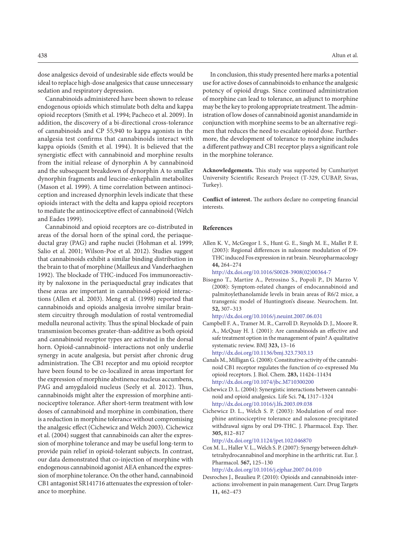dose analgesics devoid of undesirable side effects would be ideal to replace high-dose analgesics that cause unnecessary sedation and respiratory depression.

Cannabinoids administered have been shown to release endogenous opioids which stimulate both delta and kappa opioid receptors (Smith et al. 1994; Pacheco et al. 2009). In addition, the discovery of a bi-directional cross-tolerance of cannabinoids and CP 55,940 to kappa agonists in the analgesia test confirms that cannabinoids interact with kappa opioids (Smith et al. 1994). It is believed that the synergistic effect with cannabinoid and morphine results from the initial release of dynorphin A by cannabinoid and the subsequent breakdown of dynorphin A to smaller dynorphin fragments and leucine-enkephalin metabolites (Mason et al. 1999). A time correlation between antinociception and increased dynorphin levels indicate that these opioids interact with the delta and kappa opioid receptors to mediate the antinociceptive effect of cannabinoid (Welch and Eades 1999).

Cannabinoid and opioid receptors are co-distributed in areas of the dorsal horn of the spinal cord, the periaqueductal gray (PAG) and raphe nuclei (Hohman et al. 1999; Salio et al. 2001; Wilson-Poe et al. 2012). Studies suggest that cannabinoids exhibit a similar binding distribution in the brain to that of morphine (Mailleux and Vanderhaeghen 1992). The blockade of THC-induced Fos immunoreactivity by naloxone in the periaqueductal gray indicates that these areas are important in cannabinoid-opioid interactions (Allen et al. 2003). Meng et al. (1998) reported that cannabinoids and opioids analgesia involve similar brainstem circuitry through modulation of rostal ventromedial medulla neuronal activity. Thus the spinal blockade of pain transmission becomes greater-than-additive as both opioid and cannabinoid receptor types are activated in the dorsal horn. Opioid-cannabinoid- interactions not only underlie synergy in acute analgesia, but persist after chronic drug administration. The CB1 receptor and mu opioid receptor have been found to be co-localized in areas important for the expression of morphine abstinence nucleus accumbens, PAG and amygdaloid nucleus (Seely et al. 2012). Thus, cannabinoids might alter the expression of morphine antinociceptive tolerance. After short-term treatment with low doses of cannabinoid and morphine in combination, there is a reduction in morphine tolerance without compromising the analgesic effect (Cichewicz and Welch 2003). Cichewicz et al. (2004) suggest that cannabinoids can alter the expression of morphine tolerance and may be useful long-term to provide pain relief in opioid-tolerant subjects. In contrast, our data demonstrated that co-injection of morphine with endogenous cannabinoid agonist AEA enhanced the expression of morphine tolerance. On the other hand, cannabinoid CB1 antagonist SR141716 attenuates the expression of tolerance to morphine.

In conclusion, this study presented here marks a potential use for active doses of cannabinoids to enhance the analgesic potency of opioid drugs. Since continued administration of morphine can lead to tolerance, an adjunct to morphine may be the key to prolong appropriate treatment. The administration of low doses of cannabinoid agonist anandamide in conjunction with morphine seems to be an alternative regimen that reduces the need to escalate opioid dose. Furthermore, the development of tolerance to morphine includes a different pathway and CB1 receptor plays a significant role in the morphine tolerance.

**Acknowledgements.** This study was supported by Cumhuriyet University Scientific Research Project (T-329, CUBAP, Sivas, Turkey).

**Conflict of interest.** The authors declare no competing financial interests.

### **References**

Allen K. V., McGregor I. S., Hunt G. E., Singh M. E., Mallet P. E. (2003): Regional differences in naloxone modulation of D9- THC induced Fos expression in rat brain. Neuropharmacology **44,** 264–274

[http://dx.doi.org/10.1016/S0028-3908\(02\)00364-7](http://dx.doi.org/10.1016/S0028-3908%2802%2900364-7)

- Bisogno T., Martire A., Petrosino S., Popoli P., Di Marzo V. (2008): Symptom-related changes of endocannabinoid and palmitoylethanolamide levels in brain areas of R6/2 mice, a transgenic model of Huntington's disease. Neurochem. Int. **52,** 307–313
	- <http://dx.doi.org/10.1016/j.neuint.2007.06.031>
- Campbell F. A., Tramer M. R., Carroll D. Reynolds D. J., Moore R. A., McQuay H. J. (2001): Are cannabinoids an effective and safe treatment option in the management of pain? A qualitative systematic review. BMJ **323,** 13–16 <http://dx.doi.org/10.1136/bmj.323.7303.13>
- Canals M., Milligan G. (2008): Constitutive activity of the cannabinoid CB1 receptor regulates the function of co-expressed Mu opioid receptors. J. Biol. Chem. **283,** 11424–11434 <http://dx.doi.org/10.1074/jbc.M710300200>
- Cichewicz D. L. (2004): Synergistic interactions between cannabinoid and opioid analgesics. Life Sci. **74,** 1317–1324 <http://dx.doi.org/10.1016/j.lfs.2003.09.038>
- Cichewicz D. L., Welch S. P. (2003): Modulation of oral morphine antinociceptive tolerance and naloxone-precipitated withdrawal signs by oral D9-THC. J. Pharmacol. Exp. Ther. **305,** 812–817

<http://dx.doi.org/10.1124/jpet.102.046870>

Cox M. L., Haller V. L., Welch S. P. (2007): Synergy between delta9 tetrahydrocannabinol and morphine in the arthritic rat. Eur. J. Pharmacol. **567,** 125–130

<http://dx.doi.org/10.1016/j.ejphar.2007.04.010>

Desroches J., Beaulieu P. (2010): Opioids and cannabinoids interactions: involvement in pain management. Curr. Drug Targets **11,** 462–473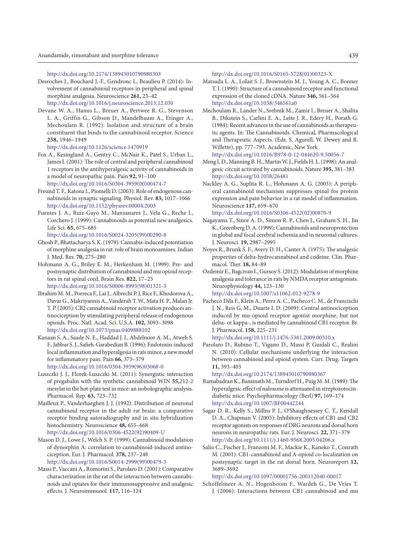<http://dx.doi.org/10.2174/138945010790980303>

- Desroches J., Bouchard J.-F., Gendronc I., Beaulieu P. (2014): Involvement of cannabinoid receptors in peripheral and spinal morphine analgesia. Neuroscience **261,** 23–42 <http://dx.doi.org/10.1016/j.neuroscience.2013.12.030>
- Devane W. A., Hanus L., Breuer A., Pertwee R. G., Stevenson L. A., Griffin G., Gibson D., Mandelbaum A., Etinger A., Mechoulam R. (1992): Isolation and structure of a brain constituent that binds to the cannabinoid receptor. Science **258,** 1946–1949
	- <http://dx.doi.org/10.1126/science.1470919>
- Fox A., Kesingland A., Gentry C., McNair K., Patel S., Urban L., James I. (2001): The role of central and peripheral cannabinoid 1 receptors in the antihyperalgesic activity of cannabinoids in a model of neuropathic pain. Pain **92,** 91–100 [http://dx.doi.org/10.1016/S0304-3959\(00\)00474-7](http://dx.doi.org/10.1016/S0304-3959%2800%2900474-7)
- Freund T. F., Katona I., Piomelli D. (2003): Role of endogenous cannabinoids in synaptic signaling. Physiol. Rev. **83,** 1017–1066 <http://dx.doi.org/10.1152/physrev.00004.2003>
- Fuentes J. A., Ruiz-Gayo M., Manzanares J., Vela G., Reche I., Corchero J. (1999): Cannabinoids as potential new analgesics. Life Sci. **65,** 675–685
	- [http://dx.doi.org/10.1016/S0024-3205\(99\)00290-8](http://dx.doi.org/10.1016/S0024-3205%2899%2900290-8)
- Ghosh P., Bhattacharya S. K. (1979): Cannabis-induced potentiation of morphine analgesia in rat: role of brain monoamines. Indian J. Med. Res. **70,** 275–280
- Hohmann A. G., Briley E. M., Herkenham M. (1999): Pre- and postsynaptic distribution of cannabinoid and mu opioid receptors in rat spinal cord. Brain Res. **822,** 17–25 [http://dx.doi.org/10.1016/S0006-8993\(98\)01321-3](http://dx.doi.org/10.1016/S0006-8993%2898%2901321-3)
- Ibrahim M. M., Porreca F., Lai J., Albrecht P. J, Rice F., Khodorova A., Davar G., Makriyannis A., Vanderah T. W., Mata H. P., Malan Jr. T. P. (2005): CB2 cannabinoid receptor activation produces antinociception by stimulating peripheral release of endogenous opioids. Proc. Natl. Acad. Sci. U.S.A. **102,** 3093–3098 <http://dx.doi.org/10.1073/pnas.0409888102>
- Kanaan S. A., Saade N. E., Haddad J. J., Abdelnoor A. M., Atweh S. F., Jabbur S. J., Safieh-Garabedian B. (1996): Endotoxin-induced local inflammation and hyperalgesia in rats mince, a new model for inflammatory pain. Pain **66,** 373–379 [http://dx.doi.org/10.1016/0304-3959\(96\)03068-0](http://dx.doi.org/10.1016/0304-3959%2896%2903068-0)
- Luszczki J. J., Florek-Luszczki M. (2011): Synergistic interaction of pregabalin with the synthetic cannabinoid WIN **55,**212-2 mesylat in the hot-plate test in mice: an isobolographic analysis. Pharmacol. Rep. **63,** 723–732
- Mailleux P., Vanderhaeghen J. J. (1992): Distribution of neuronal cannabinoid receptor in the adult rat brain: a comparative receptor binding autoradiography and in situ hybridization histochemistry. Neuroscience **48,** 655–668 [http://dx.doi.org/10.1016/0306-4522\(92\)90409-U](http://dx.doi.org/10.1016/0306-4522%2892%2990409-U)
- Mason D. J., Lowe J., Welch S. P. (1999): Cannabinoid modulation of dynorphin A: correlation to cannabinoid-induced antinociception. Eur. J. Pharmacol. **378,** 237–248 [http://dx.doi.org/10.1016/S0014-2999\(99\)00479-3](http://dx.doi.org/10.1016/S0014-2999%2899%2900479-3)
- Massi P., Vaccani A., Romorini S., Parolaro D. (2001): Comparative characterization in the rat of the interaction between cannabinoids and opiates for their immunosuppressive and analgesic effects. J. Neuroimmunol. **117,** 116–124

[http://dx.doi.org/10.1016/S0165-5728\(01\)00323-X](http://dx.doi.org/10.1016/S0165-5728%2801%2900323-X)

- Matsuda L. A., Lolait S. J., Brownstein M. J., Young A. C., Bonner T. I. (1990): Structure of a cannabinoid receptor and functional expression of the cloned cDNA. Nature **346,** 561–564 <http://dx.doi.org/10.1038/346561a0>
- Mechoulam R., Lander N., Srebnik M., Zamir I., Breuer A., Shalita B., Dikstein S., Carlini E. A., Leite J. R., Edery H., Porath G. (1984): Recent advances in the use of cannabinoids as therapeutic agents. In: The Cannabinoids. Chemical, Pharmacological and Therapeutic Aspects. (Eds. S. Agurell, W. Dewey and R. Willette), pp. 777–793, Academic, New York <http://dx.doi.org/10.1016/B978-0-12-044620-9.50056-7>
- Meng I. D., Manning B. H., Martin W. J., Fields H. L. (1998): An analgesic circuit activated by cannabinoids. Nature **395,** 381–383 <http://dx.doi.org/10.1038/26481>
- Nackley A. G., Suplita R. L., Hohmann A. G. (2003): A peripheral cannabinoid mechanism suppresses spinal fos protein expression and pain behavior in a rat model of inflammation. Neuroscience **117,** 659–670

[http://dx.doi.org/10.1016/S0306-4522\(02\)00870-9](http://dx.doi.org/10.1016/S0306-4522%2802%2900870-9)

- Nagayama T., Sinor A. D., Simon R. P., Chen J., Graham S. H., Jin K., Greenberg D. A. (1999): Cannabinoids and neuroprotection in global and focal cerebral ischemia and in neuronal cultures. J. Neurosci. **19,** 2987–2995
- Noyes R., Brunk S. F., Avery D. H., Canter A. (1975): The analgesic properties of delta-hydrocannabinol and codeine. Clin. Pharmacol. Ther. **18,** 84–89
- Ozdemir E., Bagcivan I., Gursoy S. (2012): Modulation of morphine analgesia and tolerance in rats by NMDA receptor antagonists. Neurophysiology **44,** 123–130 <http://dx.doi.org/10.1007/s11062-012-9278-9>
- Pacheco Dda F., Klein A., Perez A. C., Pacheco C. M., de Francischi J. N., Reis G. M., Duarte I. D. (2009): Central antinociception induced by mu-opioid receptor agonist morphine, but not delta- or kappa-, is mediated by cannabinoid CB1 receptor. Br. J. Pharmacol. **158,** 225–231
- <http://dx.doi.org/10.1111/j.1476-5381.2009.00310.x>
- Parolaro D., Rubino T., Vigano D., Massi P, Guidali C., Realini N. (2010): Cellular mechanisms underlying the interaction between cannabinoid and opioid system. Curr. Drug. Targets **11,** 393–405

<http://dx.doi.org/10.2174/138945010790980367>

- Ramabadran K., Bansinath M., Turndorf H., Puig M. M. (1989): The hyperalgesic effect of naloxone is attenuated in streptozotocindiabetic mice. Psychopharmacology (Berl) **97,** 169–174 <http://dx.doi.org/10.1007/BF00442244>
- Sagar D. R., Kelly S., Millns P. J., O'Shaughnessey C. T., Kendall D. A., Chapman V. (2005): Inhibitory effects of CB1 and CB2 receptor agonists on responses of DRG neurons and dorsal horn neurons in neuropathic rats. Eur. J. Neurosci. **22,** 371–379 <http://dx.doi.org/10.1111/j.1460-9568.2005.04206.x>
- Salio C., Fischer J., Franzoni M. F., Mackie K., Kaneko T., Conrath M. (2001): CB1-cannabinoid and A-opioid co-localization on postsynaptic target in the rat dorsal horn. Neuroreport **12,** 3689–3692

<http://dx.doi.org/10.1097/00001756-200112040-00017>

Schoffelmeer A. N., Hogenboom F., Wardeh G., De Vries T. J. (2006): Interactions between CB1 cannabinoid and mu